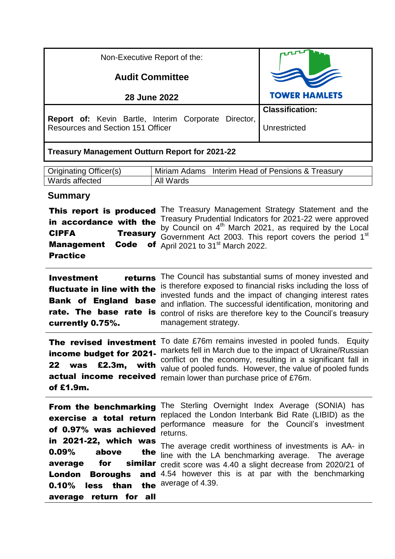| Non-Executive Report of the:                                                                            |                                                       |                                                         |  |  |  |  |
|---------------------------------------------------------------------------------------------------------|-------------------------------------------------------|---------------------------------------------------------|--|--|--|--|
| <b>Audit Committee</b>                                                                                  |                                                       |                                                         |  |  |  |  |
| <b>28 June 2022</b>                                                                                     | <b>TOWER HAMLETS</b>                                  |                                                         |  |  |  |  |
|                                                                                                         |                                                       | <b>Classification:</b>                                  |  |  |  |  |
| <b>Report of:</b> Kevin Bartle, Interim Corporate Director,<br><b>Resources and Section 151 Officer</b> | Unrestricted                                          |                                                         |  |  |  |  |
|                                                                                                         | <b>Treasury Management Outturn Report for 2021-22</b> |                                                         |  |  |  |  |
| Originating Officer(s)                                                                                  | Miriam Adams Interim Head of Pensions & Treasury      |                                                         |  |  |  |  |
| Wards affected                                                                                          | All Wards                                             |                                                         |  |  |  |  |
| <b>Summary</b>                                                                                          |                                                       | . The Treesury Menogenesit Christian, Chatement and the |  |  |  |  |

|                        | This report is produced The Treasury Management Strategy Statement and the                                                                               |
|------------------------|----------------------------------------------------------------------------------------------------------------------------------------------------------|
| in accordance with the | Treasury Prudential Indicators for 2021-22 were approved                                                                                                 |
| <b>CIPFA</b>           | by Council on 4 <sup>th</sup> March 2021, as required by the Local<br><b>Treasury</b> Government Act 2003. This report covers the period 1 <sup>st</sup> |
|                        | <b>Management Code of April 2021 to 31st March 2022.</b>                                                                                                 |
| <b>Practice</b>        |                                                                                                                                                          |

| <b>Investment</b>          | returns The Council has substantial sums of money invested and                                                            |
|----------------------------|---------------------------------------------------------------------------------------------------------------------------|
| fluctuate in line with the | is therefore exposed to financial risks including the loss of<br>invested funds and the impact of changing interest rates |
|                            | <b>Bank of England base</b> and inflation. The successful identification, monitoring and                                  |
|                            | rate. The base rate is control of risks are therefore key to the Council's treasury                                       |
| currently 0.75%.           | management strategy.                                                                                                      |

The revised investment To date £76m remains invested in pooled funds. Equity income budget for 2021- markets fell in March due to the impact of Ukraine/Russian 22 was £2.3m, actual income received remain lower than purchase price of £76m. of £1.9m. conflict on the economy, resulting in a significant fall in value of pooled funds. However, the value of pooled funds

| From the benchmarking<br>exercise a total return<br>of 0.97% was achieved | The Sterling Overnight Index Average (SONIA) has<br>replaced the London Interbank Bid Rate (LIBID) as the<br>performance measure for the Council's investment<br>returns.                                         |
|---------------------------------------------------------------------------|-------------------------------------------------------------------------------------------------------------------------------------------------------------------------------------------------------------------|
| in 2021-22, which was<br>average                                          | The average credit worthiness of investments is AA- in<br><b>0.09%</b> above the line with the LA benchmarking average. The average<br><b>for</b> similar credit score was 4.40 a slight decrease from 2020/21 of |
| less than the average of 4.39.<br>0.10%<br>average return for all         | <b>London Boroughs and</b> 4.54 however this is at par with the benchmarking                                                                                                                                      |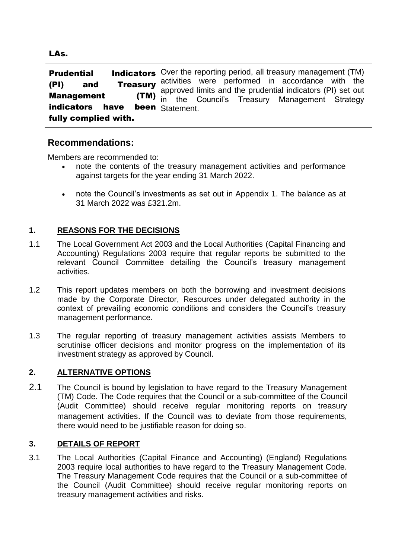**Prudential lndicators** Over the reporting period, all treasury management (TM) (PI) and Treasury activities were performed in accordance with the Management (TM) indicators have fully complied with. approved limits and the prudential indicators (PI) set out in the Council's Treasury Management Strategy been Statement.

# **Recommendations:**

Members are recommended to:

- note the contents of the treasury management activities and performance against targets for the year ending 31 March 2022.
- note the Council's investments as set out in Appendix 1. The balance as at 31 March 2022 was £321.2m.

## **1. REASONS FOR THE DECISIONS**

- 1.1 The Local Government Act 2003 and the Local Authorities (Capital Financing and Accounting) Regulations 2003 require that regular reports be submitted to the relevant Council Committee detailing the Council's treasury management activities.
- 1.2 This report updates members on both the borrowing and investment decisions made by the Corporate Director, Resources under delegated authority in the context of prevailing economic conditions and considers the Council's treasury management performance.
- 1.3 The regular reporting of treasury management activities assists Members to scrutinise officer decisions and monitor progress on the implementation of its investment strategy as approved by Council.

#### **2. ALTERNATIVE OPTIONS**

2.1 The Council is bound by legislation to have regard to the Treasury Management (TM) Code. The Code requires that the Council or a sub-committee of the Council (Audit Committee) should receive regular monitoring reports on treasury management activities. If the Council was to deviate from those requirements, there would need to be justifiable reason for doing so.

#### **3. DETAILS OF REPORT**

3.1 The Local Authorities (Capital Finance and Accounting) (England) Regulations 2003 require local authorities to have regard to the Treasury Management Code. The Treasury Management Code requires that the Council or a sub-committee of the Council (Audit Committee) should receive regular monitoring reports on treasury management activities and risks.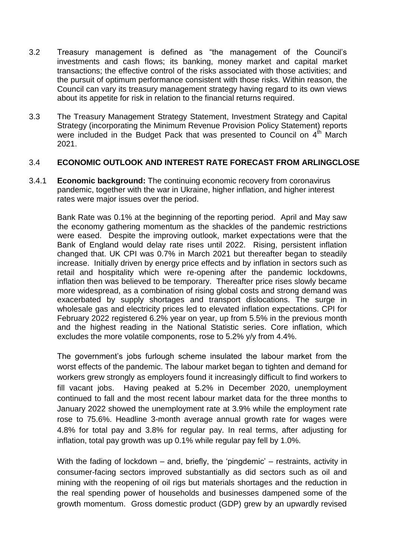- 3.2 Treasury management is defined as "the management of the Council's investments and cash flows; its banking, money market and capital market transactions; the effective control of the risks associated with those activities; and the pursuit of optimum performance consistent with those risks. Within reason, the Council can vary its treasury management strategy having regard to its own views about its appetite for risk in relation to the financial returns required.
- 3.3 The Treasury Management Strategy Statement, Investment Strategy and Capital Strategy (incorporating the Minimum Revenue Provision Policy Statement) reports were included in the Budget Pack that was presented to Council on  $4<sup>th</sup>$  March 2021.

#### 3.4 **ECONOMIC OUTLOOK AND INTEREST RATE FORECAST FROM ARLINGCLOSE**

3.4.1 **Economic background:** The continuing economic recovery from coronavirus pandemic, together with the war in Ukraine, higher inflation, and higher interest rates were major issues over the period.

Bank Rate was 0.1% at the beginning of the reporting period. April and May saw the economy gathering momentum as the shackles of the pandemic restrictions were eased. Despite the improving outlook, market expectations were that the Bank of England would delay rate rises until 2022. Rising, persistent inflation changed that. UK CPI was 0.7% in March 2021 but thereafter began to steadily increase. Initially driven by energy price effects and by inflation in sectors such as retail and hospitality which were re-opening after the pandemic lockdowns, inflation then was believed to be temporary. Thereafter price rises slowly became more widespread, as a combination of rising global costs and strong demand was exacerbated by supply shortages and transport dislocations. The surge in wholesale gas and electricity prices led to elevated inflation expectations. CPI for February 2022 registered 6.2% year on year, up from 5.5% in the previous month and the highest reading in the National Statistic series. Core inflation, which excludes the more volatile components, rose to 5.2% y/y from 4.4%.

The government's jobs furlough scheme insulated the labour market from the worst effects of the pandemic. The labour market began to tighten and demand for workers grew strongly as employers found it increasingly difficult to find workers to fill vacant jobs. Having peaked at 5.2% in December 2020, unemployment continued to fall and the most recent labour market data for the three months to January 2022 showed the unemployment rate at 3.9% while the employment rate rose to 75.6%. Headline 3-month average annual growth rate for wages were 4.8% for total pay and 3.8% for regular pay. In real terms, after adjusting for inflation, total pay growth was up 0.1% while regular pay fell by 1.0%.

With the fading of lockdown – and, briefly, the 'pingdemic' – restraints, activity in consumer-facing sectors improved substantially as did sectors such as oil and mining with the reopening of oil rigs but materials shortages and the reduction in the real spending power of households and businesses dampened some of the growth momentum. Gross domestic product (GDP) grew by an upwardly revised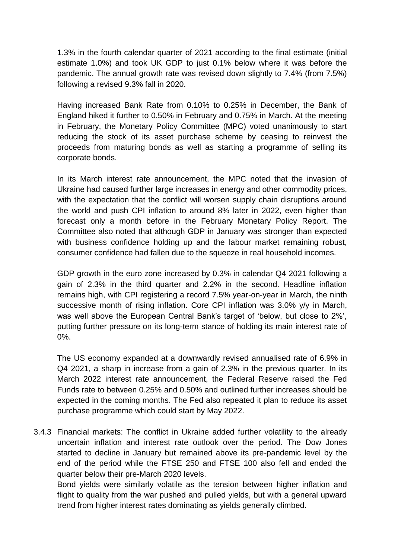1.3% in the fourth calendar quarter of 2021 according to the final estimate (initial estimate 1.0%) and took UK GDP to just 0.1% below where it was before the pandemic. The annual growth rate was revised down slightly to 7.4% (from 7.5%) following a revised 9.3% fall in 2020.

Having increased Bank Rate from 0.10% to 0.25% in December, the Bank of England hiked it further to 0.50% in February and 0.75% in March. At the meeting in February, the Monetary Policy Committee (MPC) voted unanimously to start reducing the stock of its asset purchase scheme by ceasing to reinvest the proceeds from maturing bonds as well as starting a programme of selling its corporate bonds.

In its March interest rate announcement, the MPC noted that the invasion of Ukraine had caused further large increases in energy and other commodity prices, with the expectation that the conflict will worsen supply chain disruptions around the world and push CPI inflation to around 8% later in 2022, even higher than forecast only a month before in the February Monetary Policy Report. The Committee also noted that although GDP in January was stronger than expected with business confidence holding up and the labour market remaining robust, consumer confidence had fallen due to the squeeze in real household incomes.

GDP growth in the euro zone increased by 0.3% in calendar Q4 2021 following a gain of 2.3% in the third quarter and 2.2% in the second. Headline inflation remains high, with CPI registering a record 7.5% year-on-year in March, the ninth successive month of rising inflation. Core CPI inflation was 3.0% y/y in March, was well above the European Central Bank's target of 'below, but close to 2%', putting further pressure on its long-term stance of holding its main interest rate of 0%.

The US economy expanded at a downwardly revised annualised rate of 6.9% in Q4 2021, a sharp in increase from a gain of 2.3% in the previous quarter. In its March 2022 interest rate announcement, the Federal Reserve raised the Fed Funds rate to between 0.25% and 0.50% and outlined further increases should be expected in the coming months. The Fed also repeated it plan to reduce its asset purchase programme which could start by May 2022.

3.4.3 Financial markets: The conflict in Ukraine added further volatility to the already uncertain inflation and interest rate outlook over the period. The Dow Jones started to decline in January but remained above its pre-pandemic level by the end of the period while the FTSE 250 and FTSE 100 also fell and ended the quarter below their pre-March 2020 levels.

Bond yields were similarly volatile as the tension between higher inflation and flight to quality from the war pushed and pulled yields, but with a general upward trend from higher interest rates dominating as yields generally climbed.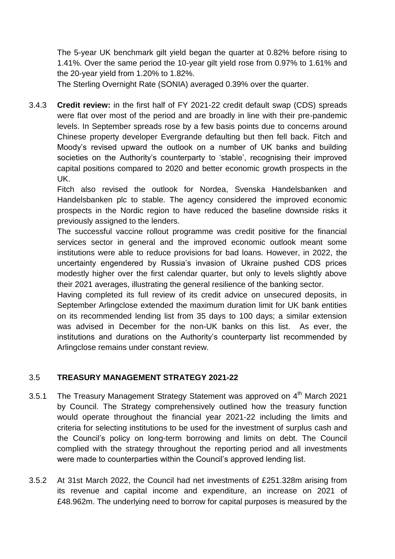The 5-year UK benchmark gilt yield began the quarter at 0.82% before rising to 1.41%. Over the same period the 10-year gilt yield rose from 0.97% to 1.61% and the 20-year yield from 1.20% to 1.82%.

The Sterling Overnight Rate (SONIA) averaged 0.39% over the quarter.

3.4.3 **Credit review:** in the first half of FY 2021-22 credit default swap (CDS) spreads were flat over most of the period and are broadly in line with their pre-pandemic levels. In September spreads rose by a few basis points due to concerns around Chinese property developer Evergrande defaulting but then fell back. Fitch and Moody's revised upward the outlook on a number of UK banks and building societies on the Authority's counterparty to 'stable', recognising their improved capital positions compared to 2020 and better economic growth prospects in the UK.

Fitch also revised the outlook for Nordea, Svenska Handelsbanken and Handelsbanken plc to stable. The agency considered the improved economic prospects in the Nordic region to have reduced the baseline downside risks it previously assigned to the lenders.

The successful vaccine rollout programme was credit positive for the financial services sector in general and the improved economic outlook meant some institutions were able to reduce provisions for bad loans. However, in 2022, the uncertainty engendered by Russia's invasion of Ukraine pushed CDS prices modestly higher over the first calendar quarter, but only to levels slightly above their 2021 averages, illustrating the general resilience of the banking sector.

Having completed its full review of its credit advice on unsecured deposits, in September Arlingclose extended the maximum duration limit for UK bank entities on its recommended lending list from 35 days to 100 days; a similar extension was advised in December for the non-UK banks on this list. As ever, the institutions and durations on the Authority's counterparty list recommended by Arlingclose remains under constant review.

## 3.5 **TREASURY MANAGEMENT STRATEGY 2021-22**

- 3.5.1 The Treasury Management Strategy Statement was approved on  $4<sup>th</sup>$  March 2021 by Council. The Strategy comprehensively outlined how the treasury function would operate throughout the financial year 2021-22 including the limits and criteria for selecting institutions to be used for the investment of surplus cash and the Council's policy on long-term borrowing and limits on debt. The Council complied with the strategy throughout the reporting period and all investments were made to counterparties within the Council's approved lending list.
- 3.5.2 At 31st March 2022, the Council had net investments of £251.328m arising from its revenue and capital income and expenditure, an increase on 2021 of £48.962m. The underlying need to borrow for capital purposes is measured by the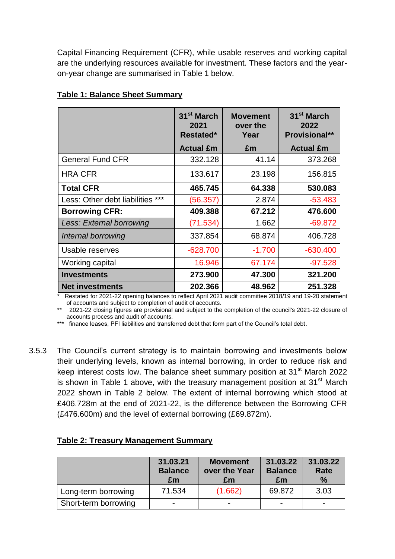Capital Financing Requirement (CFR), while usable reserves and working capital are the underlying resources available for investment. These factors and the yearon-year change are summarised in Table 1 below.

|                                  | 31 <sup>st</sup> March<br>2021<br>Restated* | <b>Movement</b><br>over the<br>Year | 31 <sup>st</sup> March<br>2022<br><b>Provisional**</b> |
|----------------------------------|---------------------------------------------|-------------------------------------|--------------------------------------------------------|
|                                  | <b>Actual £m</b>                            | £m                                  | <b>Actual £m</b>                                       |
| <b>General Fund CFR</b>          | 332.128                                     | 41.14                               | 373.268                                                |
| <b>HRA CFR</b>                   | 133.617                                     | 23.198                              | 156.815                                                |
| <b>Total CFR</b>                 | 465.745                                     | 64.338                              | 530.083                                                |
| Less: Other debt liabilities *** | (56.357)                                    | 2.874                               | $-53.483$                                              |
| <b>Borrowing CFR:</b>            | 409.388                                     | 67.212                              | 476.600                                                |
| Less: External borrowing         | (71.534)                                    | 1.662                               | $-69.872$                                              |
| Internal borrowing               | 337.854                                     | 68.874                              | 406.728                                                |
| Usable reserves                  | $-628.700$                                  | $-1.700$                            | $-630.400$                                             |
| Working capital                  | 16.946                                      | 67.174                              | $-97.528$                                              |
| <b>Investments</b>               | 273.900                                     | 47.300                              | 321.200                                                |
| <b>Net investments</b>           | 202.366                                     | 48.962                              | 251.328                                                |

#### **Table 1: Balance Sheet Summary**

Restated for 2021-22 opening balances to reflect April 2021 audit committee 2018/19 and 19-20 statement of accounts and subject to completion of audit of accounts.

2021-22 closing figures are provisional and subject to the completion of the council's 2021-22 closure of accounts process and audit of accounts.

\*\*\* finance leases, PFI liabilities and transferred debt that form part of the Council's total debt.

3.5.3 The Council's current strategy is to maintain borrowing and investments below their underlying levels, known as internal borrowing, in order to reduce risk and keep interest costs low. The balance sheet summary position at 31<sup>st</sup> March 2022 is shown in Table 1 above, with the treasury management position at  $31<sup>st</sup>$  March 2022 shown in Table 2 below. The extent of internal borrowing which stood at £406.728m at the end of 2021-22, is the difference between the Borrowing CFR (£476.600m) and the level of external borrowing (£69.872m).

|                      | 31.03.21<br><b>Balance</b><br>£m | <b>Movement</b><br>over the Year<br>Em | 31.03.22<br><b>Balance</b><br>£m | 31.03.22<br>Rate<br>$\%$ |
|----------------------|----------------------------------|----------------------------------------|----------------------------------|--------------------------|
| Long-term borrowing  | 71.534                           | (1.662)                                | 69.872                           | 3.03                     |
| Short-term borrowing | -                                | $\overline{\phantom{0}}$               | -                                |                          |

## **Table 2: Treasury Management Summary**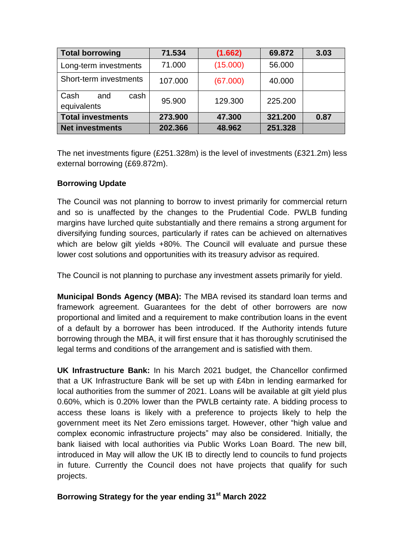| <b>Total borrowing</b>             | 71.534  | (1.662)  | 69.872  | 3.03 |
|------------------------------------|---------|----------|---------|------|
| Long-term investments              | 71.000  | (15.000) | 56.000  |      |
| Short-term investments             | 107.000 | (67.000) | 40.000  |      |
| Cash<br>cash<br>and<br>equivalents | 95.900  | 129,300  | 225.200 |      |
| <b>Total investments</b>           | 273.900 | 47.300   | 321.200 | 0.87 |
| <b>Net investments</b>             | 202.366 | 48.962   | 251.328 |      |

The net investments figure (£251.328m) is the level of investments (£321.2m) less external borrowing (£69.872m).

# **Borrowing Update**

The Council was not planning to borrow to invest primarily for commercial return and so is unaffected by the changes to the Prudential Code. PWLB funding margins have lurched quite substantially and there remains a strong argument for diversifying funding sources, particularly if rates can be achieved on alternatives which are below gilt yields  $+80\%$ . The Council will evaluate and pursue these lower cost solutions and opportunities with its treasury advisor as required.

The Council is not planning to purchase any investment assets primarily for yield.

**Municipal Bonds Agency (MBA):** The MBA revised its standard loan terms and framework agreement. Guarantees for the debt of other borrowers are now proportional and limited and a requirement to make contribution loans in the event of a default by a borrower has been introduced. If the Authority intends future borrowing through the MBA, it will first ensure that it has thoroughly scrutinised the legal terms and conditions of the arrangement and is satisfied with them.

**UK Infrastructure Bank:** In his March 2021 budget, the Chancellor confirmed that a UK Infrastructure Bank will be set up with £4bn in lending earmarked for local authorities from the summer of 2021. Loans will be available at gilt yield plus 0.60%, which is 0.20% lower than the PWLB certainty rate. A bidding process to access these loans is likely with a preference to projects likely to help the government meet its Net Zero emissions target. However, other "high value and complex economic infrastructure projects" may also be considered. Initially, the bank liaised with local authorities via Public Works Loan Board. The new bill, introduced in May will allow the UK IB to directly lend to councils to fund projects in future. Currently the Council does not have projects that qualify for such projects.

# **Borrowing Strategy for the year ending 31st March 2022**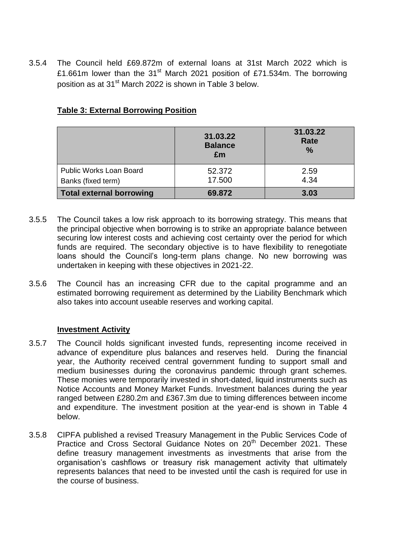3.5.4 The Council held £69.872m of external loans at 31st March 2022 which is £1.661m lower than the  $31<sup>st</sup>$  March 2021 position of £71.534m. The borrowing position as at 31<sup>st</sup> March 2022 is shown in Table 3 below.

|                                 | 31.03.22<br><b>Balance</b><br>Em | 31.03.22<br>Rate<br>$\%$ |
|---------------------------------|----------------------------------|--------------------------|
| Public Works Loan Board         | 52.372                           | 2.59                     |
| Banks (fixed term)              | 17.500                           | 4.34                     |
| <b>Total external borrowing</b> | 69.872                           | 3.03                     |

# **Table 3: External Borrowing Position**

- 3.5.5 The Council takes a low risk approach to its borrowing strategy. This means that the principal objective when borrowing is to strike an appropriate balance between securing low interest costs and achieving cost certainty over the period for which funds are required. The secondary objective is to have flexibility to renegotiate loans should the Council's long-term plans change. No new borrowing was undertaken in keeping with these objectives in 2021-22.
- 3.5.6 The Council has an increasing CFR due to the capital programme and an estimated borrowing requirement as determined by the Liability Benchmark which also takes into account useable reserves and working capital.

## **Investment Activity**

- 3.5.7 The Council holds significant invested funds, representing income received in advance of expenditure plus balances and reserves held. During the financial year, the Authority received central government funding to support small and medium businesses during the coronavirus pandemic through grant schemes. These monies were temporarily invested in short-dated, liquid instruments such as Notice Accounts and Money Market Funds. Investment balances during the year ranged between £280.2m and £367.3m due to timing differences between income and expenditure. The investment position at the year-end is shown in Table 4 below.
- 3.5.8 CIPFA published a revised Treasury Management in the Public Services Code of Practice and Cross Sectoral Guidance Notes on 20<sup>th</sup> December 2021. These define treasury management investments as investments that arise from the organisation's cashflows or treasury risk management activity that ultimately represents balances that need to be invested until the cash is required for use in the course of business.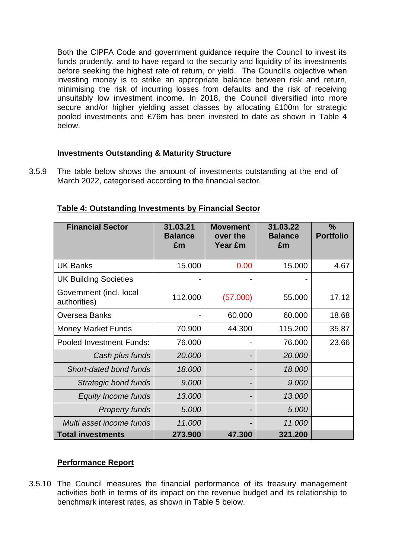Both the CIPFA Code and government guidance require the Council to invest its funds prudently, and to have regard to the security and liquidity of its investments before seeking the highest rate of return, or yield. The Council's objective when investing money is to strike an appropriate balance between risk and return, minimising the risk of incurring losses from defaults and the risk of receiving unsuitably low investment income. In 2018, the Council diversified into more secure and/or higher yielding asset classes by allocating £100m for strategic pooled investments and £76m has been invested to date as shown in Table 4 below.

#### **Investments Outstanding & Maturity Structure**

3.5.9 The table below shows the amount of investments outstanding at the end of March 2022, categorised according to the financial sector.

| <b>Financial Sector</b>                 | 31.03.21<br><b>Balance</b><br>£m | <b>Movement</b><br>over the<br><b>Year £m</b> | 31.03.22<br><b>Balance</b><br>£m | $\frac{9}{6}$<br><b>Portfolio</b> |
|-----------------------------------------|----------------------------------|-----------------------------------------------|----------------------------------|-----------------------------------|
| <b>UK Banks</b>                         | 15.000                           | 0.00                                          | 15.000                           | 4.67                              |
| <b>UK Building Societies</b>            |                                  |                                               |                                  |                                   |
| Government (incl. local<br>authorities) | 112.000                          | (57.000)                                      | 55.000                           | 17.12                             |
| <b>Oversea Banks</b>                    |                                  | 60.000                                        | 60.000                           | 18.68                             |
| <b>Money Market Funds</b>               | 70.900                           | 44.300                                        | 115.200                          | 35.87                             |
| <b>Pooled Investment Funds:</b>         | 76.000                           |                                               | 76.000                           | 23.66                             |
| Cash plus funds                         | 20.000                           |                                               | 20.000                           |                                   |
| Short-dated bond funds                  | 18.000                           |                                               | 18.000                           |                                   |
| Strategic bond funds                    | 9.000                            |                                               | 9.000                            |                                   |
| <b>Equity Income funds</b>              | 13.000                           |                                               | 13.000                           |                                   |
| <b>Property funds</b>                   | 5.000                            |                                               | 5.000                            |                                   |
| Multi asset income funds                | 11.000                           |                                               | 11.000                           |                                   |
| <b>Total investments</b>                | 273.900                          | 47.300                                        | 321.200                          |                                   |

**Table 4: Outstanding Investments by Financial Sector**

## **Performance Report**

3.5.10 The Council measures the financial performance of its treasury management activities both in terms of its impact on the revenue budget and its relationship to benchmark interest rates, as shown in Table 5 below.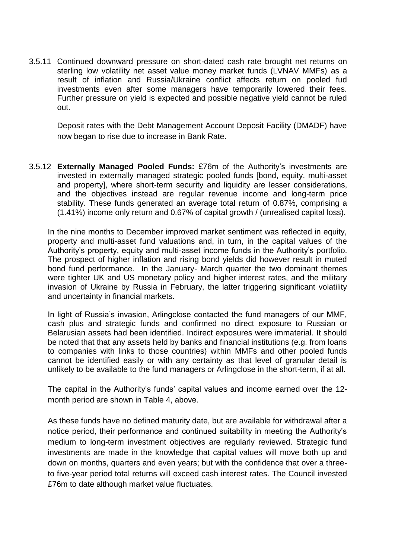3.5.11 Continued downward pressure on short-dated cash rate brought net returns on sterling low volatility net asset value money market funds (LVNAV MMFs) as a result of inflation and Russia/Ukraine conflict affects return on pooled fud investments even after some managers have temporarily lowered their fees. Further pressure on yield is expected and possible negative yield cannot be ruled out.

Deposit rates with the Debt Management Account Deposit Facility (DMADF) have now began to rise due to increase in Bank Rate.

3.5.12 **Externally Managed Pooled Funds:** £76m of the Authority's investments are invested in externally managed strategic pooled funds [bond, equity, multi-asset and property], where short-term security and liquidity are lesser considerations, and the objectives instead are regular revenue income and long-term price stability. These funds generated an average total return of 0.87%, comprising a (1.41%) income only return and 0.67% of capital growth / (unrealised capital loss).

In the nine months to December improved market sentiment was reflected in equity, property and multi-asset fund valuations and, in turn, in the capital values of the Authority's property, equity and multi-asset income funds in the Authority's portfolio. The prospect of higher inflation and rising bond yields did however result in muted bond fund performance. In the January- March quarter the two dominant themes were tighter UK and US monetary policy and higher interest rates, and the military invasion of Ukraine by Russia in February, the latter triggering significant volatility and uncertainty in financial markets.

In light of Russia's invasion, Arlingclose contacted the fund managers of our MMF, cash plus and strategic funds and confirmed no direct exposure to Russian or Belarusian assets had been identified. Indirect exposures were immaterial. It should be noted that that any assets held by banks and financial institutions (e.g. from loans to companies with links to those countries) within MMFs and other pooled funds cannot be identified easily or with any certainty as that level of granular detail is unlikely to be available to the fund managers or Arlingclose in the short-term, if at all.

The capital in the Authority's funds' capital values and income earned over the 12 month period are shown in Table 4, above.

As these funds have no defined maturity date, but are available for withdrawal after a notice period, their performance and continued suitability in meeting the Authority's medium to long-term investment objectives are regularly reviewed. Strategic fund investments are made in the knowledge that capital values will move both up and down on months, quarters and even years; but with the confidence that over a threeto five-year period total returns will exceed cash interest rates. The Council invested £76m to date although market value fluctuates.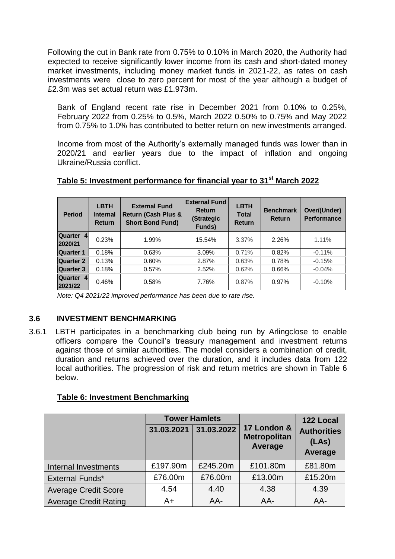Following the cut in Bank rate from 0.75% to 0.10% in March 2020, the Authority had expected to receive significantly lower income from its cash and short-dated money market investments, including money market funds in 2021-22, as rates on cash investments were close to zero percent for most of the year although a budget of £2.3m was set actual return was £1.973m.

Bank of England recent rate rise in December 2021 from 0.10% to 0.25%, February 2022 from 0.25% to 0.5%, March 2022 0.50% to 0.75% and May 2022 from 0.75% to 1.0% has contributed to better return on new investments arranged.

Income from most of the Authority's externally managed funds was lower than in 2020/21 and earlier years due to the impact of inflation and ongoing Ukraine/Russia conflict.

| <b>Period</b>        | <b>LBTH</b><br><b>Internal</b><br><b>Return</b> | <b>External Fund</b><br><b>Return (Cash Plus &amp;</b><br><b>Short Bond Fund)</b> | <b>External Fund</b><br><b>Return</b><br>(Strategic<br>Funds) | <b>LBTH</b><br><b>Total</b><br><b>Return</b> | <b>Benchmark</b><br><b>Return</b> | Over/(Under)<br><b>Performance</b> |
|----------------------|-------------------------------------------------|-----------------------------------------------------------------------------------|---------------------------------------------------------------|----------------------------------------------|-----------------------------------|------------------------------------|
| Quarter 4<br>2020/21 | 0.23%                                           | 1.99%                                                                             | 15.54%                                                        | 3.37%                                        | 2.26%                             | 1.11%                              |
| <b>Quarter 1</b>     | 0.18%                                           | 0.63%                                                                             | 3.09%                                                         | 0.71%                                        | 0.82%                             | $-0.11%$                           |
| <b>Quarter 2</b>     | 0.13%                                           | 0.60%                                                                             | 2.87%                                                         | 0.63%                                        | 0.78%                             | $-0.15%$                           |
| <b>Quarter 3</b>     | 0.18%                                           | 0.57%                                                                             | 2.52%                                                         | 0.62%                                        | 0.66%                             | $-0.04%$                           |
| Quarter 4<br>2021/22 | 0.46%                                           | 0.58%                                                                             | 7.76%                                                         | 0.87%                                        | 0.97%                             | $-0.10%$                           |

# **Table 5: Investment performance for financial year to 31st March 2022**

*Note: Q4 2021/22 improved performance has been due to rate rise.*

## **3.6 INVESTMENT BENCHMARKING**

3.6.1 LBTH participates in a benchmarking club being run by Arlingclose to enable officers compare the Council's treasury management and investment returns against those of similar authorities. The model considers a combination of credit, duration and returns achieved over the duration, and it includes data from 122 local authorities. The progression of risk and return metrics are shown in Table 6 below.

|                              |            | <b>Tower Hamlets</b> |                                               | 122 Local                              |  |  |
|------------------------------|------------|----------------------|-----------------------------------------------|----------------------------------------|--|--|
|                              | 31.03.2021 | 31.03.2022           | 17 London &<br><b>Metropolitan</b><br>Average | <b>Authorities</b><br>(LAs)<br>Average |  |  |
| Internal Investments         | £197.90m   | £245.20m             | £101.80m                                      | £81.80m                                |  |  |
| <b>External Funds*</b>       | £76.00m    | £76.00m              | £13.00m                                       | £15.20m                                |  |  |
| <b>Average Credit Score</b>  | 4.54       | 4.40                 | 4.38                                          | 4.39                                   |  |  |
| <b>Average Credit Rating</b> | $A+$       | AA-                  | AA-                                           | AA-                                    |  |  |

#### **Table 6: Investment Benchmarking**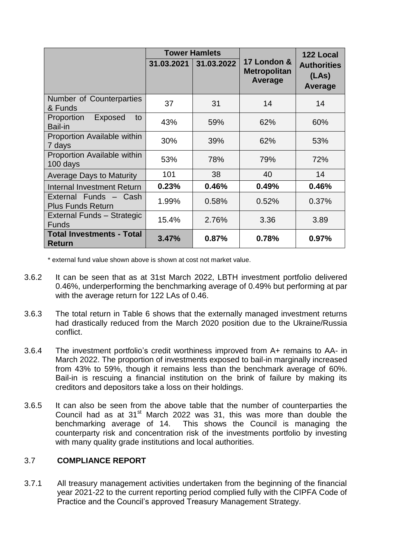|                                                      | <b>Tower Hamlets</b> |            |                                               | 122 Local                                     |
|------------------------------------------------------|----------------------|------------|-----------------------------------------------|-----------------------------------------------|
|                                                      | 31.03.2021           | 31.03.2022 | 17 London &<br><b>Metropolitan</b><br>Average | <b>Authorities</b><br>(LAs)<br><b>Average</b> |
| Number of Counterparties<br>& Funds                  | 37                   | 31         | 14                                            | 14                                            |
| Proportion<br><b>Exposed</b><br>to<br><b>Bail-in</b> | 43%                  | 59%        | 62%                                           | 60%                                           |
| Proportion Available within<br>7 days                | 30%                  | 39%        | 62%                                           | 53%                                           |
| Proportion Available within<br>100 days              | 53%                  | 78%        | 79%                                           | 72%                                           |
| <b>Average Days to Maturity</b>                      | 101                  | 38         | 40                                            | 14                                            |
| <b>Internal Investment Return</b>                    | 0.23%                | 0.46%      | 0.49%                                         | 0.46%                                         |
| External Funds - Cash<br><b>Plus Funds Return</b>    | 1.99%                | 0.58%      | 0.52%                                         | 0.37%                                         |
| External Funds - Strategic<br><b>Funds</b>           | 15.4%                | 2.76%      | 3.36                                          | 3.89                                          |
| <b>Total Investments - Total</b><br><b>Return</b>    | 3.47%                | 0.87%      | 0.78%                                         | 0.97%                                         |

\* external fund value shown above is shown at cost not market value.

- 3.6.2 It can be seen that as at 31st March 2022, LBTH investment portfolio delivered 0.46%, underperforming the benchmarking average of 0.49% but performing at par with the average return for 122 LAs of 0.46.
- 3.6.3 The total return in Table 6 shows that the externally managed investment returns had drastically reduced from the March 2020 position due to the Ukraine/Russia conflict.
- 3.6.4 The investment portfolio's credit worthiness improved from A+ remains to AA- in March 2022. The proportion of investments exposed to bail-in marginally increased from 43% to 59%, though it remains less than the benchmark average of 60%. Bail-in is rescuing a financial institution on the brink of failure by making its creditors and depositors take a loss on their holdings.
- 3.6.5 It can also be seen from the above table that the number of counterparties the Council had as at 31<sup>st</sup> March 2022 was 31, this was more than double the benchmarking average of 14. This shows the Council is managing the counterparty risk and concentration risk of the investments portfolio by investing with many quality grade institutions and local authorities.

## 3.7 **COMPLIANCE REPORT**

3.7.1 All treasury management activities undertaken from the beginning of the financial year 2021-22 to the current reporting period complied fully with the CIPFA Code of Practice and the Council's approved Treasury Management Strategy.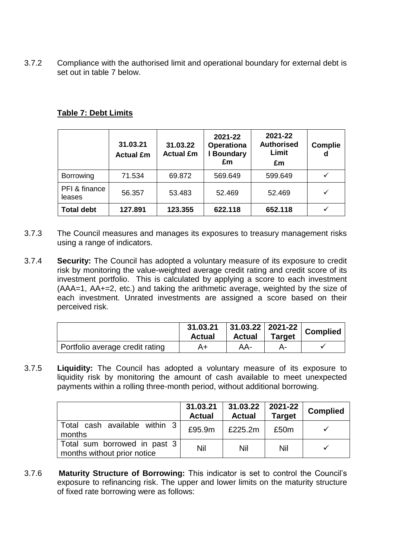3.7.2 Compliance with the authorised limit and operational boundary for external debt is set out in table 7 below.

|  | <b>Table 7: Debt Limits</b> |
|--|-----------------------------|
|  |                             |
|  |                             |

|                         | 31.03.21<br><b>Actual £m</b> | 31.03.22<br><b>Actual £m</b> | 2021-22<br><b>Operationa</b><br>I Boundary<br>£m | 2021-22<br><b>Authorised</b><br>Limit<br>£m | <b>Complie</b><br>d |
|-------------------------|------------------------------|------------------------------|--------------------------------------------------|---------------------------------------------|---------------------|
| <b>Borrowing</b>        | 71.534                       | 69.872                       | 569.649                                          | 599.649                                     | $\checkmark$        |
| PFI & finance<br>leases | 56.357                       | 53.483                       | 52.469                                           | 52.469                                      | ✓                   |
| <b>Total debt</b>       | 127.891                      | 123.355                      | 622.118                                          | 652.118                                     |                     |

- 3.7.3 The Council measures and manages its exposures to treasury management risks using a range of indicators.
- 3.7.4 **Security:** The Council has adopted a voluntary measure of its exposure to credit risk by monitoring the value-weighted average credit rating and credit score of its investment portfolio. This is calculated by applying a score to each investment (AAA=1, AA+=2, etc.) and taking the arithmetic average, weighted by the size of each investment. Unrated investments are assigned a score based on their perceived risk.

|                                 | $\frac{31.03.21}{2}$ 31.03.22 2021-22 Complied<br><b>Actual</b> | <b>Actual</b> | <b>Target</b> |  |
|---------------------------------|-----------------------------------------------------------------|---------------|---------------|--|
| Portfolio average credit rating | A+                                                              | AA-           |               |  |

3.7.5 **Liquidity:** The Council has adopted a voluntary measure of its exposure to liquidity risk by monitoring the amount of cash available to meet unexpected payments within a rolling three-month period, without additional borrowing.

|                                                             | 31.03.21<br><b>Actual</b> | $31.03.22$   2021-22<br><b>Actual</b> | <b>Target</b> | <b>Complied</b> |
|-------------------------------------------------------------|---------------------------|---------------------------------------|---------------|-----------------|
| Total cash available within 3<br>months                     | £95.9m                    | £225.2m                               | £50m          |                 |
| Total sum borrowed in past 3<br>months without prior notice | Nil                       | Nil                                   | Nil           |                 |

3.7.6 **Maturity Structure of Borrowing:** This indicator is set to control the Council's exposure to refinancing risk. The upper and lower limits on the maturity structure of fixed rate borrowing were as follows: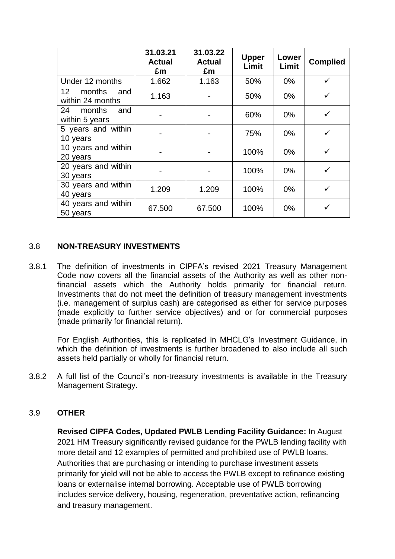|                                                       | 31.03.21<br><b>Actual</b><br>£m | 31.03.22<br><b>Actual</b><br>£m | <b>Upper</b><br>Limit | Lower<br>Limit | <b>Complied</b> |
|-------------------------------------------------------|---------------------------------|---------------------------------|-----------------------|----------------|-----------------|
| Under 12 months                                       | 1.662                           | 1.163                           | 50%                   | $0\%$          | $\checkmark$    |
| months<br>12 <sup>12</sup><br>and<br>within 24 months | 1.163                           |                                 | 50%                   | $0\%$          | ✓               |
| months<br>24<br>and<br>within 5 years                 |                                 |                                 | 60%                   | $0\%$          | ✓               |
| 5 years and within<br>10 years                        |                                 |                                 | 75%                   | $0\%$          |                 |
| 10 years and within<br>20 years                       |                                 |                                 | 100%                  | $0\%$          |                 |
| 20 years and within<br>30 years                       |                                 |                                 | 100%                  | $0\%$          |                 |
| 30 years and within<br>40 years                       | 1.209                           | 1.209                           | 100%                  | $0\%$          | ✓               |
| 40 years and within<br>50 years                       | 67.500                          | 67.500                          | 100%                  | $0\%$          | ✓               |

#### 3.8 **NON-TREASURY INVESTMENTS**

3.8.1 The definition of investments in CIPFA's revised 2021 Treasury Management Code now covers all the financial assets of the Authority as well as other nonfinancial assets which the Authority holds primarily for financial return. Investments that do not meet the definition of treasury management investments (i.e. management of surplus cash) are categorised as either for service purposes (made explicitly to further service objectives) and or for commercial purposes (made primarily for financial return).

For English Authorities, this is replicated in MHCLG's Investment Guidance, in which the definition of investments is further broadened to also include all such assets held partially or wholly for financial return.

3.8.2 A full list of the Council's non-treasury investments is available in the Treasury Management Strategy.

## 3.9 **OTHER**

**Revised CIPFA Codes, Updated PWLB Lending Facility Guidance:** In August 2021 HM Treasury significantly revised guidance for the PWLB lending facility with more detail and 12 examples of permitted and prohibited use of PWLB loans. Authorities that are purchasing or intending to purchase investment assets primarily for yield will not be able to access the PWLB except to refinance existing loans or externalise internal borrowing. Acceptable use of PWLB borrowing includes service delivery, housing, regeneration, preventative action, refinancing and treasury management.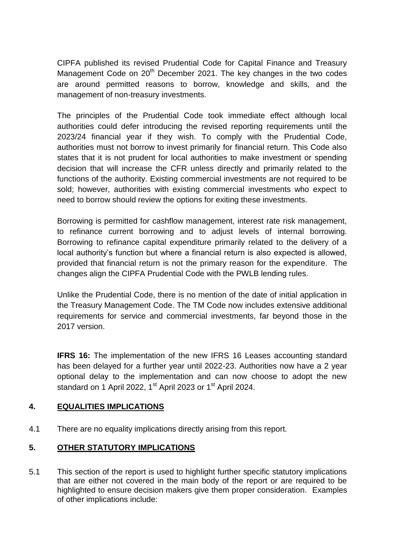CIPFA published its revised Prudential Code for Capital Finance and Treasury Management Code on 20<sup>th</sup> December 2021. The key changes in the two codes are around permitted reasons to borrow, knowledge and skills, and the management of non-treasury investments.

The principles of the Prudential Code took immediate effect although local authorities could defer introducing the revised reporting requirements until the 2023/24 financial year if they wish. To comply with the Prudential Code, authorities must not borrow to invest primarily for financial return. This Code also states that it is not prudent for local authorities to make investment or spending decision that will increase the CFR unless directly and primarily related to the functions of the authority. Existing commercial investments are not required to be sold; however, authorities with existing commercial investments who expect to need to borrow should review the options for exiting these investments.

Borrowing is permitted for cashflow management, interest rate risk management, to refinance current borrowing and to adjust levels of internal borrowing. Borrowing to refinance capital expenditure primarily related to the delivery of a local authority's function but where a financial return is also expected is allowed, provided that financial return is not the primary reason for the expenditure. The changes align the CIPFA Prudential Code with the PWLB lending rules.

Unlike the Prudential Code, there is no mention of the date of initial application in the Treasury Management Code. The TM Code now includes extensive additional requirements for service and commercial investments, far beyond those in the 2017 version.

**IFRS 16:** The implementation of the new IFRS 16 Leases accounting standard has been delayed for a further year until 2022-23. Authorities now have a 2 year optional delay to the implementation and can now choose to adopt the new standard on 1 April 2022, 1<sup>st</sup> April 2023 or 1<sup>st</sup> April 2024.

## **4. EQUALITIES IMPLICATIONS**

4.1 There are no equality implications directly arising from this report.

## **5. OTHER STATUTORY IMPLICATIONS**

5.1 This section of the report is used to highlight further specific statutory implications that are either not covered in the main body of the report or are required to be highlighted to ensure decision makers give them proper consideration. Examples of other implications include: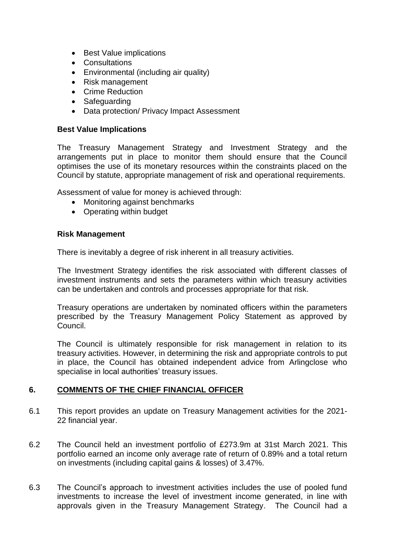- Best Value implications
- Consultations
- Environmental (including air quality)
- Risk management
- Crime Reduction
- Safeguarding
- Data protection/ Privacy Impact Assessment

#### **Best Value Implications**

The Treasury Management Strategy and Investment Strategy and the arrangements put in place to monitor them should ensure that the Council optimises the use of its monetary resources within the constraints placed on the Council by statute, appropriate management of risk and operational requirements.

Assessment of value for money is achieved through:

- Monitoring against benchmarks
- Operating within budget

#### **Risk Management**

There is inevitably a degree of risk inherent in all treasury activities.

The Investment Strategy identifies the risk associated with different classes of investment instruments and sets the parameters within which treasury activities can be undertaken and controls and processes appropriate for that risk.

Treasury operations are undertaken by nominated officers within the parameters prescribed by the Treasury Management Policy Statement as approved by Council.

The Council is ultimately responsible for risk management in relation to its treasury activities. However, in determining the risk and appropriate controls to put in place, the Council has obtained independent advice from Arlingclose who specialise in local authorities' treasury issues.

## **6. COMMENTS OF THE CHIEF FINANCIAL OFFICER**

- 6.1 This report provides an update on Treasury Management activities for the 2021- 22 financial year.
- 6.2 The Council held an investment portfolio of £273.9m at 31st March 2021. This portfolio earned an income only average rate of return of 0.89% and a total return on investments (including capital gains & losses) of 3.47%.
- 6.3 The Council's approach to investment activities includes the use of pooled fund investments to increase the level of investment income generated, in line with approvals given in the Treasury Management Strategy. The Council had a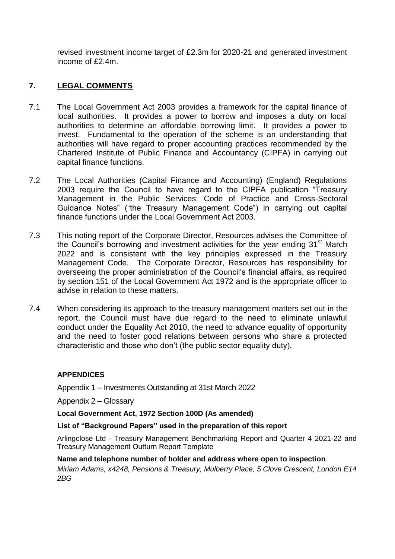revised investment income target of £2.3m for 2020-21 and generated investment income of £2.4m.

# **7. LEGAL COMMENTS**

- 7.1 The Local Government Act 2003 provides a framework for the capital finance of local authorities. It provides a power to borrow and imposes a duty on local authorities to determine an affordable borrowing limit. It provides a power to invest. Fundamental to the operation of the scheme is an understanding that authorities will have regard to proper accounting practices recommended by the Chartered Institute of Public Finance and Accountancy (CIPFA) in carrying out capital finance functions.
- 7.2 The Local Authorities (Capital Finance and Accounting) (England) Regulations 2003 require the Council to have regard to the CIPFA publication "Treasury Management in the Public Services: Code of Practice and Cross-Sectoral Guidance Notes" ("the Treasury Management Code") in carrying out capital finance functions under the Local Government Act 2003.
- 7.3 This noting report of the Corporate Director, Resources advises the Committee of the Council's borrowing and investment activities for the year ending  $31<sup>st</sup>$  March 2022 and is consistent with the key principles expressed in the Treasury Management Code. The Corporate Director, Resources has responsibility for overseeing the proper administration of the Council's financial affairs, as required by section 151 of the Local Government Act 1972 and is the appropriate officer to advise in relation to these matters.
- 7.4 When considering its approach to the treasury management matters set out in the report, the Council must have due regard to the need to eliminate unlawful conduct under the Equality Act 2010, the need to advance equality of opportunity and the need to foster good relations between persons who share a protected characteristic and those who don't (the public sector equality duty).

#### **APPENDICES**

Appendix 1 – Investments Outstanding at 31st March 2022

Appendix 2 – Glossary

**Local Government Act, 1972 Section 100D (As amended)**

#### **List of "Background Papers" used in the preparation of this report**

Arlingclose Ltd - Treasury Management Benchmarking Report and Quarter 4 2021-22 and Treasury Management Outturn Report Template

**Name and telephone number of holder and address where open to inspection** *Miriam Adams, x4248, Pensions & Treasury, Mulberry Place, 5 Clove Crescent, London E14 2BG*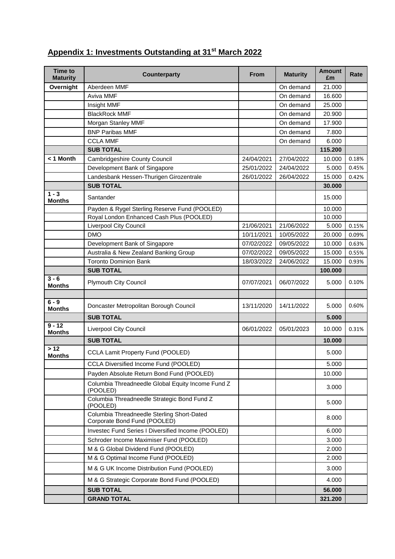#### **Time to Maturity Counterparty From Maturity Amount £m Rate Overnight** Aberdeen MMF **On a struck and a struck and a struck and a struck and a struck and a struck and a struck and a struck and a struck and a struck and a struck and a struck and a struck and a struck and a struck an** Aviva MMF **On demand** 16.600 Insight MMF On demand 25.000 BlackRock MMF On demand 20.900 Morgan Stanley MMF **Contract Contract Contract Contract Contract Contract Contract Contract Contract Contract Contract Contract Contract On demand 17.900** BNP Paribas MMF **DELA CONSTRUCTER CONSTRUCTER** On demand 7.800 CCLA MMF **On demand** 6.000 **SUB TOTAL 115.200 < 1 Month** Cambridgeshire County Council 24/04/2021 27/04/2022 10.000 0.18% Development Bank of Singapore 25/01/2022 24/04/2022 5.000 0.45% Landesbank Hessen-Thurigen Girozentrale 26/01/2022 26/04/2022 15.000 0.42% **SUB TOTAL 30.000**  $\overline{1 - 3}$ **Months** Santander **15.000**<br> **Months** Santander 15.000 Payden & Rygel Sterling Reserve Fund (POOLED) 10.000 Royal London Enhanced Cash Plus (POOLED) 10.000 Liverpool City Council 21/06/2021 21/06/2022 5.000 0.15% DMO 10/11/2021 10/05/2022 20.000 0.09% Development Bank of Singapore 000 07/02/2022 09/05/2022 10.000 0.63% Australia & New Zealand Banking Group | 07/02/2022 | 09/05/2022 | 15.000 | 0.55% Toronto Dominion Bank 18/03/2022 24/06/2022 15.000 0.93% **SUB TOTAL 100.000 3 - 6 Months** Plymouth City Council **1998** 107/07/2021 06/07/2022 5.000 0.10% **6 - 9 Moncaster Metropolitan Borough Council 13/11/2020 14/11/2022 5.000 0.60% SUB TOTAL 5.000 9 - 12 Liverpool City Council 2002 2003 106/01/2022 05/01/2023 10.000 0.31% SUB TOTAL 10.000 > 12 Months** CCLA Lamit Property Fund (POOLED) **12** 13.000 CCLA Diversified Income Fund (POOLED) 5.000 Payden Absolute Return Bond Fund (POOLED) 10.000 Columbia Threadneedle Global Equity Income Fund Z (POOLED) 3.000 Columbia Threadneedle Strategic Bond Fund Z (POOLED) 5.000 Columbia Threadneedle Sterling Short-Dated Columbia Threadheedie Sterling Short-Dated<br>Corporate Bond Fund (POOLED) 8.000 Investec Fund Series I Diversified Income (POOLED) 6.000 Schroder Income Maximiser Fund (POOLED) 3.000 M & G Global Dividend Fund (POOLED) 2.000 M & G Optimal Income Fund (POOLED) 2.000 M & G UK Income Distribution Fund (POOLED) 3.000 M & G Strategic Corporate Bond Fund (POOLED)  $\vert$  4.000 **SUB TOTAL 56.000 GRAND TOTAL 321.200**

# **Appendix 1: Investments Outstanding at 31st March 2022**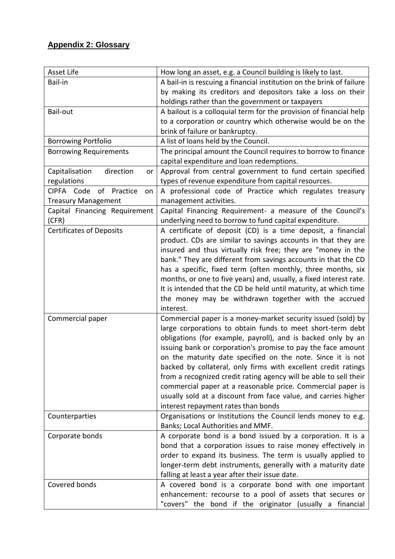# **Appendix 2: Glossary**

| Asset Life                         | How long an asset, e.g. a Council building is likely to last.         |  |  |
|------------------------------------|-----------------------------------------------------------------------|--|--|
| Bail-in                            | A bail-in is rescuing a financial institution on the brink of failure |  |  |
|                                    | by making its creditors and depositors take a loss on their           |  |  |
|                                    | holdings rather than the government or taxpayers                      |  |  |
| Bail-out                           | A bailout is a colloquial term for the provision of financial help    |  |  |
|                                    | to a corporation or country which otherwise would be on the           |  |  |
|                                    | brink of failure or bankruptcy.                                       |  |  |
| <b>Borrowing Portfolio</b>         | A list of loans held by the Council.                                  |  |  |
| <b>Borrowing Requirements</b>      | The principal amount the Council requires to borrow to finance        |  |  |
|                                    | capital expenditure and loan redemptions.                             |  |  |
| direction<br>Capitalisation<br>or  | Approval from central government to fund certain specified            |  |  |
| regulations                        | types of revenue expenditure from capital resources.                  |  |  |
| CIPFA Code<br>Practice<br>of<br>on | A professional code of Practice which regulates treasury              |  |  |
| <b>Treasury Management</b>         | management activities.                                                |  |  |
| Capital Financing Requirement      | Capital Financing Requirement- a measure of the Council's             |  |  |
| (CFR)                              | underlying need to borrow to fund capital expenditure.                |  |  |
| <b>Certificates of Deposits</b>    | A certificate of deposit (CD) is a time deposit, a financial          |  |  |
|                                    | product. CDs are similar to savings accounts in that they are         |  |  |
|                                    | insured and thus virtually risk free; they are "money in the          |  |  |
|                                    | bank." They are different from savings accounts in that the CD        |  |  |
|                                    | has a specific, fixed term (often monthly, three months, six          |  |  |
|                                    | months, or one to five years) and, usually, a fixed interest rate.    |  |  |
|                                    | It is intended that the CD be held until maturity, at which time      |  |  |
|                                    | the money may be withdrawn together with the accrued                  |  |  |
|                                    | interest.                                                             |  |  |
| Commercial paper                   | Commercial paper is a money-market security issued (sold) by          |  |  |
|                                    | large corporations to obtain funds to meet short-term debt            |  |  |
|                                    | obligations (for example, payroll), and is backed only by an          |  |  |
|                                    | issuing bank or corporation's promise to pay the face amount          |  |  |
|                                    | on the maturity date specified on the note. Since it is not           |  |  |
|                                    | backed by collateral, only firms with excellent credit ratings        |  |  |
|                                    | from a recognized credit rating agency will be able to sell their     |  |  |
|                                    | commercial paper at a reasonable price. Commercial paper is           |  |  |
|                                    | usually sold at a discount from face value, and carries higher        |  |  |
|                                    | interest repayment rates than bonds                                   |  |  |
| Counterparties                     | Organisations or Institutions the Council lends money to e.g.         |  |  |
|                                    | Banks; Local Authorities and MMF.                                     |  |  |
| Corporate bonds                    | A corporate bond is a bond issued by a corporation. It is a           |  |  |
|                                    | bond that a corporation issues to raise money effectively in          |  |  |
|                                    | order to expand its business. The term is usually applied to          |  |  |
|                                    | longer-term debt instruments, generally with a maturity date          |  |  |
|                                    | falling at least a year after their issue date.                       |  |  |
| Covered bonds                      | A covered bond is a corporate bond with one important                 |  |  |
|                                    |                                                                       |  |  |
|                                    | enhancement: recourse to a pool of assets that secures or             |  |  |
|                                    | "covers" the bond if the originator (usually a financial              |  |  |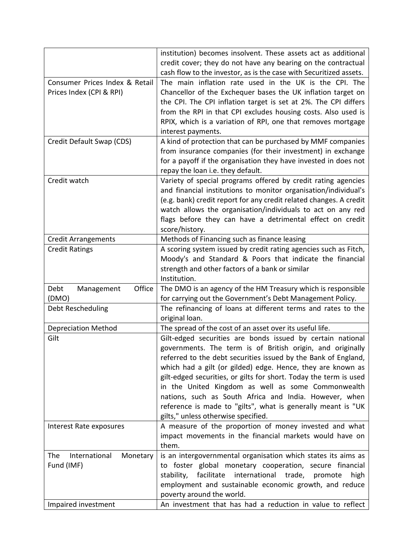| credit cover; they do not have any bearing on the contractual<br>cash flow to the investor, as is the case with Securitized assets.<br>Consumer Prices Index & Retail<br>The main inflation rate used in the UK is the CPI. The<br>Prices Index (CPI & RPI)<br>Chancellor of the Exchequer bases the UK inflation target on<br>the CPI. The CPI inflation target is set at 2%. The CPI differs<br>from the RPI in that CPI excludes housing costs. Also used is<br>RPIX, which is a variation of RPI, one that removes mortgage<br>interest payments.<br>Credit Default Swap (CDS)<br>A kind of protection that can be purchased by MMF companies<br>from insurance companies (for their investment) in exchange<br>for a payoff if the organisation they have invested in does not<br>repay the loan i.e. they default.<br>Variety of special programs offered by credit rating agencies<br>Credit watch |
|-----------------------------------------------------------------------------------------------------------------------------------------------------------------------------------------------------------------------------------------------------------------------------------------------------------------------------------------------------------------------------------------------------------------------------------------------------------------------------------------------------------------------------------------------------------------------------------------------------------------------------------------------------------------------------------------------------------------------------------------------------------------------------------------------------------------------------------------------------------------------------------------------------------|
|                                                                                                                                                                                                                                                                                                                                                                                                                                                                                                                                                                                                                                                                                                                                                                                                                                                                                                           |
|                                                                                                                                                                                                                                                                                                                                                                                                                                                                                                                                                                                                                                                                                                                                                                                                                                                                                                           |
|                                                                                                                                                                                                                                                                                                                                                                                                                                                                                                                                                                                                                                                                                                                                                                                                                                                                                                           |
|                                                                                                                                                                                                                                                                                                                                                                                                                                                                                                                                                                                                                                                                                                                                                                                                                                                                                                           |
|                                                                                                                                                                                                                                                                                                                                                                                                                                                                                                                                                                                                                                                                                                                                                                                                                                                                                                           |
|                                                                                                                                                                                                                                                                                                                                                                                                                                                                                                                                                                                                                                                                                                                                                                                                                                                                                                           |
|                                                                                                                                                                                                                                                                                                                                                                                                                                                                                                                                                                                                                                                                                                                                                                                                                                                                                                           |
|                                                                                                                                                                                                                                                                                                                                                                                                                                                                                                                                                                                                                                                                                                                                                                                                                                                                                                           |
|                                                                                                                                                                                                                                                                                                                                                                                                                                                                                                                                                                                                                                                                                                                                                                                                                                                                                                           |
|                                                                                                                                                                                                                                                                                                                                                                                                                                                                                                                                                                                                                                                                                                                                                                                                                                                                                                           |
|                                                                                                                                                                                                                                                                                                                                                                                                                                                                                                                                                                                                                                                                                                                                                                                                                                                                                                           |
|                                                                                                                                                                                                                                                                                                                                                                                                                                                                                                                                                                                                                                                                                                                                                                                                                                                                                                           |
|                                                                                                                                                                                                                                                                                                                                                                                                                                                                                                                                                                                                                                                                                                                                                                                                                                                                                                           |
| and financial institutions to monitor organisation/individual's                                                                                                                                                                                                                                                                                                                                                                                                                                                                                                                                                                                                                                                                                                                                                                                                                                           |
| (e.g. bank) credit report for any credit related changes. A credit                                                                                                                                                                                                                                                                                                                                                                                                                                                                                                                                                                                                                                                                                                                                                                                                                                        |
| watch allows the organisation/individuals to act on any red                                                                                                                                                                                                                                                                                                                                                                                                                                                                                                                                                                                                                                                                                                                                                                                                                                               |
| flags before they can have a detrimental effect on credit                                                                                                                                                                                                                                                                                                                                                                                                                                                                                                                                                                                                                                                                                                                                                                                                                                                 |
| score/history.                                                                                                                                                                                                                                                                                                                                                                                                                                                                                                                                                                                                                                                                                                                                                                                                                                                                                            |
| Methods of Financing such as finance leasing<br><b>Credit Arrangements</b>                                                                                                                                                                                                                                                                                                                                                                                                                                                                                                                                                                                                                                                                                                                                                                                                                                |
| A scoring system issued by credit rating agencies such as Fitch,<br><b>Credit Ratings</b>                                                                                                                                                                                                                                                                                                                                                                                                                                                                                                                                                                                                                                                                                                                                                                                                                 |
| Moody's and Standard & Poors that indicate the financial                                                                                                                                                                                                                                                                                                                                                                                                                                                                                                                                                                                                                                                                                                                                                                                                                                                  |
| strength and other factors of a bank or similar                                                                                                                                                                                                                                                                                                                                                                                                                                                                                                                                                                                                                                                                                                                                                                                                                                                           |
| Institution.                                                                                                                                                                                                                                                                                                                                                                                                                                                                                                                                                                                                                                                                                                                                                                                                                                                                                              |
| Office<br>The DMO is an agency of the HM Treasury which is responsible<br>Debt<br>Management                                                                                                                                                                                                                                                                                                                                                                                                                                                                                                                                                                                                                                                                                                                                                                                                              |
| for carrying out the Government's Debt Management Policy.<br>(DMO)                                                                                                                                                                                                                                                                                                                                                                                                                                                                                                                                                                                                                                                                                                                                                                                                                                        |
| The refinancing of loans at different terms and rates to the<br>Debt Rescheduling                                                                                                                                                                                                                                                                                                                                                                                                                                                                                                                                                                                                                                                                                                                                                                                                                         |
| original loan.                                                                                                                                                                                                                                                                                                                                                                                                                                                                                                                                                                                                                                                                                                                                                                                                                                                                                            |
| The spread of the cost of an asset over its useful life.<br><b>Depreciation Method</b>                                                                                                                                                                                                                                                                                                                                                                                                                                                                                                                                                                                                                                                                                                                                                                                                                    |
| Gilt<br>Gilt-edged securities are bonds issued by certain national                                                                                                                                                                                                                                                                                                                                                                                                                                                                                                                                                                                                                                                                                                                                                                                                                                        |
| governments. The term is of British origin, and originally                                                                                                                                                                                                                                                                                                                                                                                                                                                                                                                                                                                                                                                                                                                                                                                                                                                |
| referred to the debt securities issued by the Bank of England,                                                                                                                                                                                                                                                                                                                                                                                                                                                                                                                                                                                                                                                                                                                                                                                                                                            |
| which had a gilt (or gilded) edge. Hence, they are known as                                                                                                                                                                                                                                                                                                                                                                                                                                                                                                                                                                                                                                                                                                                                                                                                                                               |
| gilt-edged securities, or gilts for short. Today the term is used                                                                                                                                                                                                                                                                                                                                                                                                                                                                                                                                                                                                                                                                                                                                                                                                                                         |
| in the United Kingdom as well as some Commonwealth                                                                                                                                                                                                                                                                                                                                                                                                                                                                                                                                                                                                                                                                                                                                                                                                                                                        |
| nations, such as South Africa and India. However, when                                                                                                                                                                                                                                                                                                                                                                                                                                                                                                                                                                                                                                                                                                                                                                                                                                                    |
| reference is made to "gilts", what is generally meant is "UK                                                                                                                                                                                                                                                                                                                                                                                                                                                                                                                                                                                                                                                                                                                                                                                                                                              |
| gilts," unless otherwise specified.                                                                                                                                                                                                                                                                                                                                                                                                                                                                                                                                                                                                                                                                                                                                                                                                                                                                       |
| A measure of the proportion of money invested and what<br>Interest Rate exposures                                                                                                                                                                                                                                                                                                                                                                                                                                                                                                                                                                                                                                                                                                                                                                                                                         |
| impact movements in the financial markets would have on                                                                                                                                                                                                                                                                                                                                                                                                                                                                                                                                                                                                                                                                                                                                                                                                                                                   |
| them.                                                                                                                                                                                                                                                                                                                                                                                                                                                                                                                                                                                                                                                                                                                                                                                                                                                                                                     |
| is an intergovernmental organisation which states its aims as<br>International<br>The<br>Monetary                                                                                                                                                                                                                                                                                                                                                                                                                                                                                                                                                                                                                                                                                                                                                                                                         |
| Fund (IMF)<br>to foster global monetary cooperation, secure financial                                                                                                                                                                                                                                                                                                                                                                                                                                                                                                                                                                                                                                                                                                                                                                                                                                     |
| facilitate<br>international<br>stability,<br>trade,<br>promote<br>high                                                                                                                                                                                                                                                                                                                                                                                                                                                                                                                                                                                                                                                                                                                                                                                                                                    |
| employment and sustainable economic growth, and reduce                                                                                                                                                                                                                                                                                                                                                                                                                                                                                                                                                                                                                                                                                                                                                                                                                                                    |
| poverty around the world.                                                                                                                                                                                                                                                                                                                                                                                                                                                                                                                                                                                                                                                                                                                                                                                                                                                                                 |
| An investment that has had a reduction in value to reflect<br>Impaired investment                                                                                                                                                                                                                                                                                                                                                                                                                                                                                                                                                                                                                                                                                                                                                                                                                         |